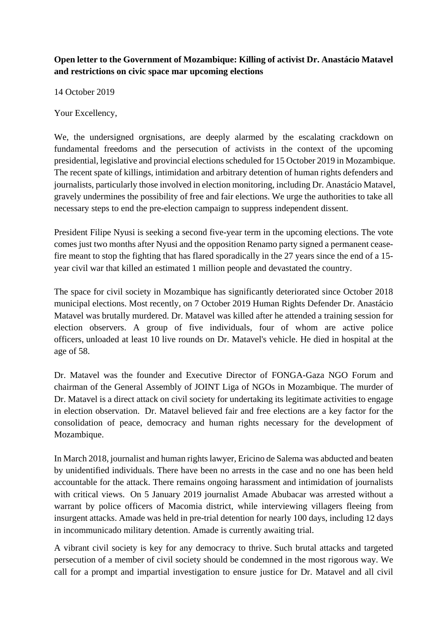## **Open letter to the Government of Mozambique: Killing of activist Dr. Anastácio Matavel and restrictions on civic space mar upcoming elections**

14 October 2019

Your Excellency,

We, the undersigned orgnisations, are deeply alarmed by the escalating crackdown on fundamental freedoms and the persecution of activists in the context of the upcoming presidential, legislative and provincial elections scheduled for 15 October 2019 in Mozambique. The recent spate of killings, intimidation and arbitrary detention of human rights defenders and journalists, particularly those involved in election monitoring, including Dr. Anastácio Matavel, gravely undermines the possibility of free and fair elections. We urge the authorities to take all necessary steps to end the pre-election campaign to suppress independent dissent.

President Filipe Nyusi is seeking a second five-year term in the upcoming elections. The vote comes just two months after Nyusi and the opposition Renamo party signed a permanent ceasefire meant to stop the fighting that has flared sporadically in the 27 years since the end of a 15 year civil war that killed an estimated 1 million people and devastated the country.

The space for civil society in Mozambique has significantly deteriorated since October 2018 municipal elections. Most recently, on 7 October 2019 Human Rights Defender Dr. Anastácio Matavel was brutally murdered. Dr. Matavel was killed after he attended a training session for election observers. A group of five individuals, four of whom are active police officers, unloaded at least 10 live rounds on Dr. Matavel's vehicle. He died in hospital at the age of 58.

Dr. Matavel was the founder and Executive Director of FONGA-Gaza NGO Forum and chairman of the General Assembly of JOINT Liga of NGOs in Mozambique. The murder of Dr. Matavel is a direct attack on civil society for undertaking its legitimate activities to engage in election observation. Dr. Matavel believed fair and free elections are a key factor for the consolidation of peace, democracy and human rights necessary for the development of Mozambique.

In March 2018, journalist and human rights lawyer, Ericino de Salema was abducted and beaten by unidentified individuals. There have been no arrests in the case and no one has been held accountable for the attack. There remains ongoing harassment and intimidation of journalists with critical views. On 5 January 2019 journalist Amade Abubacar was arrested without a warrant by police officers of Macomia district, while interviewing villagers fleeing from insurgent attacks. Amade was held in pre-trial detention for nearly 100 days, including 12 days in incommunicado military detention. Amade is currently awaiting trial.

A vibrant civil society is key for any democracy to thrive. Such brutal attacks and targeted persecution of a member of civil society should be condemned in the most rigorous way. We call for a prompt and impartial investigation to ensure justice for Dr. Matavel and all civil